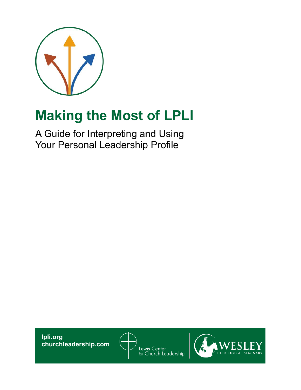

# **Making the Most of LPLI**

A Guide for Interpreting and Using Your Personal Leadership Profile

**lpli.org churchleadership.com**



Lewis Center<br><sub>for</sub> Church Leadership

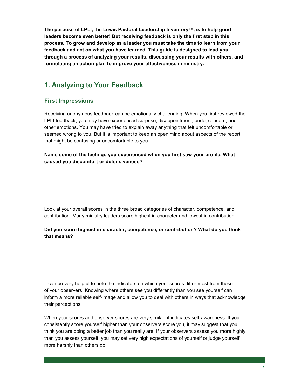**The purpose of LPLI, the Lewis Pastoral Leadership Inventory™, is to help good leaders become even better! But receiving feedback is only the first step in this process. To grow and develop as a leader you must take the time to learn from your feedback and act on what you have learned. This guide is designed to lead you through a process of analyzing your results, discussing your results with others, and formulating an action plan to improve your effectiveness in ministry.** 

# **1. Analyzing to Your Feedback**

### **First Impressions**

Receiving anonymous feedback can be emotionally challenging. When you first reviewed the LPLI feedback, you may have experienced surprise, disappointment, pride, concern, and other emotions. You may have tried to explain away anything that felt uncomfortable or seemed wrong to you. But it is important to keep an open mind about aspects of the report that might be confusing or uncomfortable to you.

**Name some of the feelings you experienced when you first saw your profile. What caused you discomfort or defensiveness?** 

Look at your overall scores in the three broad categories of character, competence, and contribution. Many ministry leaders score highest in character and lowest in contribution.

#### **Did you score highest in character, competence, or contribution? What do you think that means?**

It can be very helpful to note the indicators on which your scores differ most from those of your observers. Knowing where others see you differently than you see yourself can inform a more reliable self-image and allow you to deal with others in ways that acknowledge their perceptions.

When your scores and observer scores are very similar, it indicates self-awareness. If you consistently score yourself higher than your observers score you, it may suggest that you think you are doing a better job than you really are. If your observers assess you more highly than you assess yourself, you may set very high expectations of yourself or judge yourself more harshly than others do.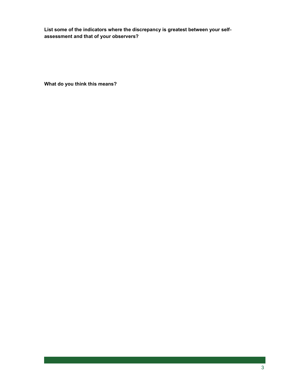**List some of the indicators where the discrepancy is greatest between your selfassessment and that of your observers?**

**What do you think this means?**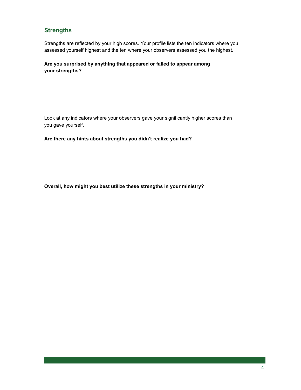## **Strengths**

Strengths are reflected by your high scores. Your profile lists the ten indicators where you assessed yourself highest and the ten where your observers assessed you the highest.

**Are you surprised by anything that appeared or failed to appear among your strengths?** 

Look at any indicators where your observers gave your significantly higher scores than you gave yourself.

**Are there any hints about strengths you didn't realize you had?**

**Overall, how might you best utilize these strengths in your ministry?**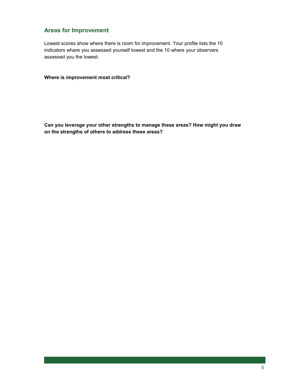## **Areas for Improvement**

Lowest scores show where there is room for improvement. Your profile lists the 10 indicators where you assessed yourself lowest and the 10 where your observers assessed you the lowest.

**Where is improvement most critical?** 

**Can you leverage your other strengths to manage these areas? How might you draw on the strengths of others to address these areas?**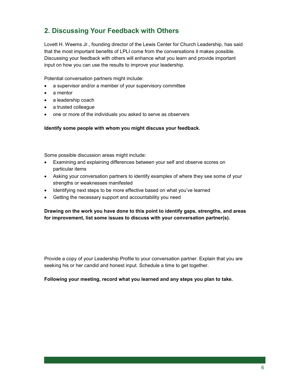# **2. Discussing Your Feedback with Others**

Lovett H. Weems Jr., founding director of the Lewis Center for Church Leadership, has said that the most important benefits of LPLI come from the conversations it makes possible. Discussing your feedback with others will enhance what you learn and provide important input on how you can use the results to improve your leadership.

Potential conversation partners might include:

- a supervisor and/or a member of your supervisory committee
- a mentor
- a leadership coach
- a trusted colleague
- one or more of the individuals you asked to serve as observers

**Identify some people with whom you might discuss your feedback.**

Some possible discussion areas might include:

- Examining and explaining differences between your self and observe scores on particular items
- Asking your conversation partners to identify examples of where they see some of your strengths or weaknesses manifested
- Identifying next steps to be more effective based on what you've learned
- Getting the necessary support and accountability you need

**Drawing on the work you have done to this point to identify gaps, strengths, and areas for improvement, list some issues to discuss with your conversation partner(s).** 

Provide a copy of your Leadership Profile to your conversation partner. Explain that you are seeking his or her candid and honest input. Schedule a time to get together.

**Following your meeting, record what you learned and any steps you plan to take.**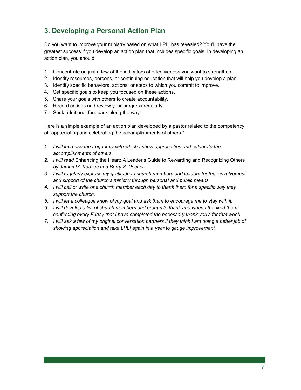# **3. Developing a Personal Action Plan**

Do you want to improve your ministry based on what LPLI has revealed? You'll have the greatest success if you develop an action plan that includes specific goals. In developing an action plan, you should:

- 1. Concentrate on just a few of the indicators of effectiveness you want to strengthen.
- 2. Identify resources, persons, or continuing education that will help you develop a plan.
- 3. Identify specific behaviors, actions, or steps to which you commit to improve.
- 4. Set specific goals to keep you focused on these actions.
- 5. Share your goals with others to create accountability.
- 6. Record actions and review your progress regularly.
- 7. Seek additional feedback along the way.

Here is a simple example of an action plan developed by a pastor related to the competency of "appreciating and celebrating the accomplishments of others."

- *1. I will increase the frequency with which I show appreciation and celebrate the accomplishments of others.*
- *2. I will read* Enhancing the Heart: A Leader's Guide to Rewarding and Recognizing Others *by James M. Kouzes and Barry Z. Posner.*
- *3. I will regularly express my gratitude to church members and leaders for their involvement and support of the church's ministry through personal and public means.*
- *4. I will call or write one church member each day to thank them for a specific way they support the church.*
- *5. I will let a colleague know of my goal and ask them to encourage me to stay with it.*
- *6. I will develop a list of church members and groups to thank and when I thanked them, confirming every Friday that I have completed the necessary thank you's for that week.*
- *7. I will ask a few of my original conversation partners if they think I am doing a better job of showing appreciation and take LPLI again in a year to gauge improvement.*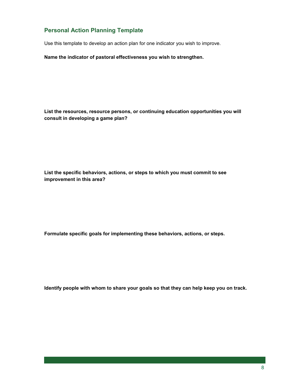## **Personal Action Planning Template**

Use this template to develop an action plan for one indicator you wish to improve.

**Name the indicator of pastoral effectiveness you wish to strengthen.**

**List the resources, resource persons, or continuing education opportunities you will consult in developing a game plan?** 

**List the specific behaviors, actions, or steps to which you must commit to see improvement in this area?** 

**Formulate specific goals for implementing these behaviors, actions, or steps.** 

**Identify people with whom to share your goals so that they can help keep you on track.**